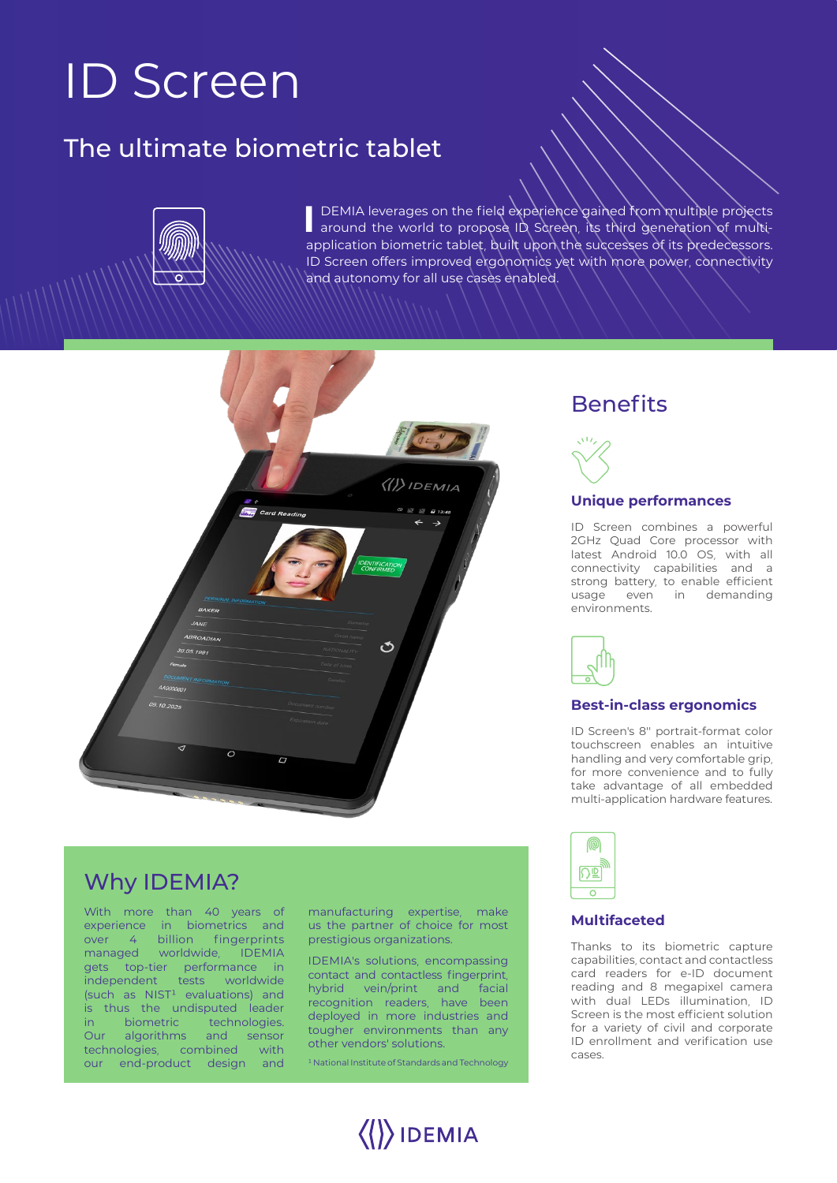# ID Screen

## The ultimate biometric tablet



**I** DEMIA leverages on the field experience gained from multiple projects around the world to propose ID Screen, its third generation of multiapplication biometric tablet, built upon the successes of its predecessors. ID Screen offers improved ergonomics yet with more power, connectivity and autonomy for all use cases enabled.



### Why IDEMIA?

With more than 40 years of experience in biometrics and over 4 billion fingerprints managed worldwide, IDEMIA gets top-tier performance in independent tests worldwide  $(such as NIST<sup>1</sup> evaluations) and$ is thus the undisputed leader in biometric technologies. Our algorithms and sensor technologies, combined with our end-product design and

manufacturing expertise, make us the partner of choice for most prestigious organizations.

IDEMIA's solutions, encompassing contact and contactless fingerprint, hybrid vein/print and facial recognition readers, have been deployed in more industries and tougher environments than any other vendors' solutions.

<sup>1</sup> National Institute of Standards and Technology

 $\langle\langle\rangle\rangle$ IDEMIA

### **Benefits**



#### **Unique performances**

ID Screen combines a powerful 2GHz Quad Core processor with latest Android 10.0 OS, with all connectivity capabilities and a strong battery, to enable efficient usage even in demanding environments.



#### **Best-in-class ergonomics**

ID Screen's 8'' portrait-format color touchscreen enables an intuitive handling and very comfortable grip, for more convenience and to fully take advantage of all embedded multi-application hardware features.



#### **Multifaceted**

Thanks to its biometric capture capabilities, contact and contactless card readers for e-ID document reading and 8 megapixel camera with dual LEDs illumination, ID Screen is the most efficient solution for a variety of civil and corporate ID enrollment and verification use cases.